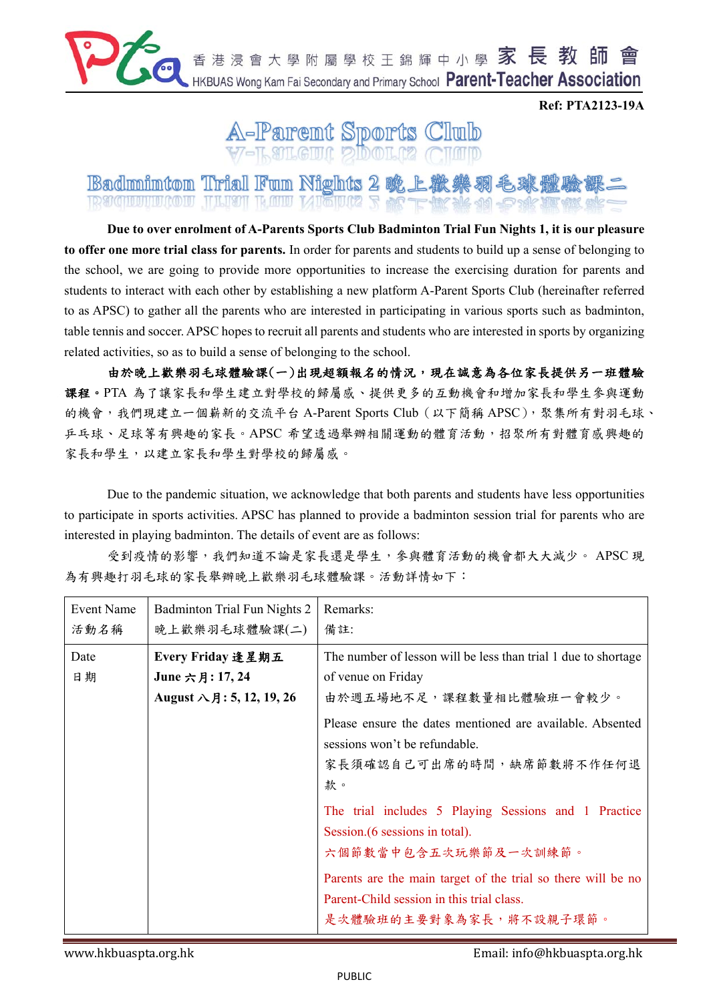

**Ref: PTA2123-19A** 



**Badminton Trial Fun Nights 2 晚上 IR SIGHLUHULCOLU THEM RAID METHA** 

**Due to over enrolment of A-Parents Sports Club Badminton Trial Fun Nights 1, it is our pleasure to offer one more trial class for parents.** In order for parents and students to build up a sense of belonging to the school, we are going to provide more opportunities to increase the exercising duration for parents and students to interact with each other by establishing a new platform A-Parent Sports Club (hereinafter referred to as APSC) to gather all the parents who are interested in participating in various sports such as badminton, table tennis and soccer. APSC hopes to recruit all parents and students who are interested in sports by organizing related activities, so as to build a sense of belonging to the school.

由於晚上歡樂羽毛球體驗課(一)出現超額報名的情況,現在誠意為各位家長提供另一班體驗 課程。PTA 為了讓家長和學生建立對學校的歸屬感、提供更多的互動機會和增加家長和學生參與運動 的機會,我們現建立一個嶄新的交流平台 A-Parent Sports Club (以下簡稱 APSC), 聚集所有對羽毛球、 乒乓球、足球等有興趣的家長。APSC 希望透過舉辦相關運動的體育活動,招聚所有對體育感興趣的 家長和學生對學校的歸屬感。

Due to the pandemic situation, we acknowledge that both parents and students have less opportunities to participate in sports activities. APSC has planned to provide a badminton session trial for parents who are interested in playing badminton. The details of event are as follows:

受到疫情的影響,我們知道不論是家長還是學生,參與體育活動的機會都大大減少。 APSC 現 為有興趣打羽毛球的家長舉辦晚上歡樂羽毛球體驗課。活動詳情如下:

| <b>Event Name</b><br>活動名稱 | Badminton Trial Fun Nights 2<br>晚上歡樂羽毛球體驗課(二)                             | Remarks:<br>備註:                                                                                                                     |
|---------------------------|---------------------------------------------------------------------------|-------------------------------------------------------------------------------------------------------------------------------------|
| Date<br>日期                | Every Friday 逢星期五<br>June 六月: 17, 24<br>August $\lambda$ 月: 5, 12, 19, 26 | The number of lesson will be less than trial 1 due to shortage<br>of venue on Friday<br>由於週五場地不足,課程數量相比體驗班一會較少。                     |
|                           |                                                                           | Please ensure the dates mentioned are available. Absented<br>sessions won't be refundable.<br>家長須確認自己可出席的時間,缺席節數將不作任何退<br>款。        |
|                           |                                                                           | The trial includes 5 Playing Sessions and 1 Practice<br>Session. (6 sessions in total).<br>六個節數當中包含五次玩樂節及一次訓練節。                     |
|                           |                                                                           | Parents are the main target of the trial so there will be no<br>Parent-Child session in this trial class.<br>是次體驗班的主要對象為家長,將不設親子環節。 |

www.hkbuaspta.org.hk Email: info@hkbuaspta.org.hk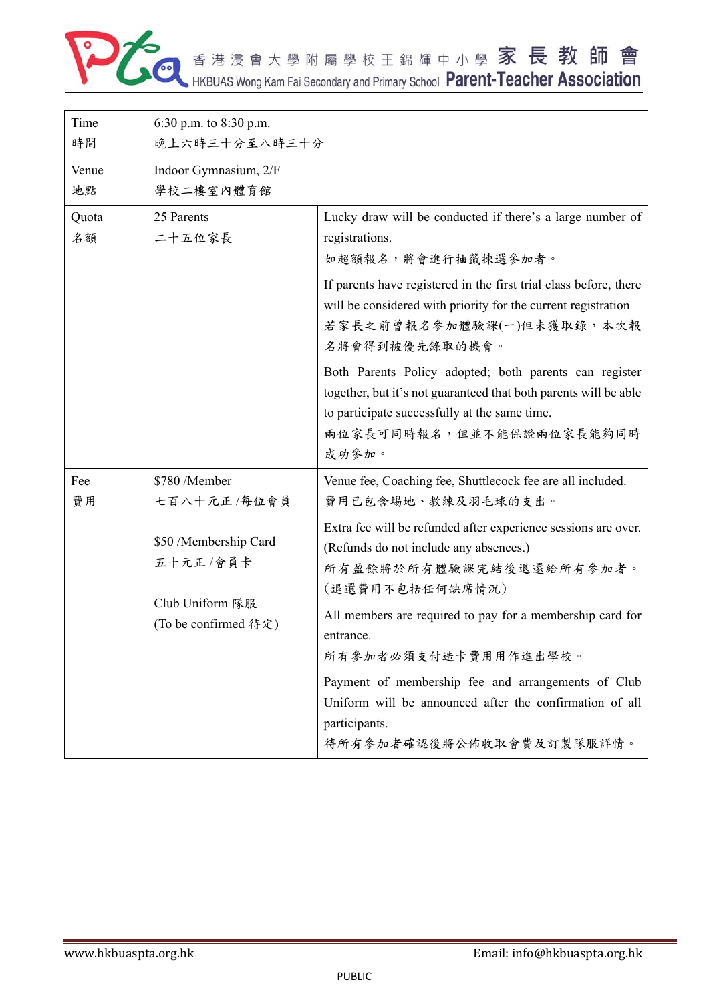

| 6:30 p.m. to 8:30 p.m.                                                       |                                                                                                                                                                                                                                  |  |  |
|------------------------------------------------------------------------------|----------------------------------------------------------------------------------------------------------------------------------------------------------------------------------------------------------------------------------|--|--|
|                                                                              |                                                                                                                                                                                                                                  |  |  |
|                                                                              | 晚上六時三十分至八時三十分                                                                                                                                                                                                                    |  |  |
| Indoor Gymnasium, 2/F                                                        |                                                                                                                                                                                                                                  |  |  |
| 學校二樓室內體育館                                                                    |                                                                                                                                                                                                                                  |  |  |
| 25 Parents<br>二十五位家長                                                         | Lucky draw will be conducted if there's a large number of<br>registrations.<br>如超額報名,將會進行抽籤揀選參加者。                                                                                                                                |  |  |
|                                                                              | If parents have registered in the first trial class before, there<br>will be considered with priority for the current registration<br>若家長之前曾報名參加體驗課(一)但未獲取錄,本次報<br>名將會得到被優先錄取的機會。                                                |  |  |
|                                                                              | Both Parents Policy adopted; both parents can register<br>together, but it's not guaranteed that both parents will be able<br>to participate successfully at the same time.<br><b>兩位家長可同時報名,但並不能保證兩位家長能夠同時</b><br>成功参加。          |  |  |
| \$780 /Member                                                                | Venue fee, Coaching fee, Shuttlecock fee are all included.<br>費用已包含場地、教練及羽毛球的支出。                                                                                                                                                 |  |  |
| \$50 /Membership Card<br>五十元正/會員卡<br>Club Uniform 隊服<br>(To be confirmed 待定) | Extra fee will be refunded after experience sessions are over.<br>(Refunds do not include any absences.)<br>所有盈餘將於所有體驗課完結後退還給所有參加者。<br>(退還費用不包括任何缺席情況)<br>All members are required to pay for a membership card for<br>entrance. |  |  |
|                                                                              | 所有參加者必須支付造卡費用用作進出學校。                                                                                                                                                                                                             |  |  |
|                                                                              | Payment of membership fee and arrangements of Club<br>Uniform will be announced after the confirmation of all<br>participants.<br>待所有參加者確認後將公佈收取會費及訂製隊服詳情。                                                                       |  |  |
|                                                                              | 七百八十元正/每位會員                                                                                                                                                                                                                      |  |  |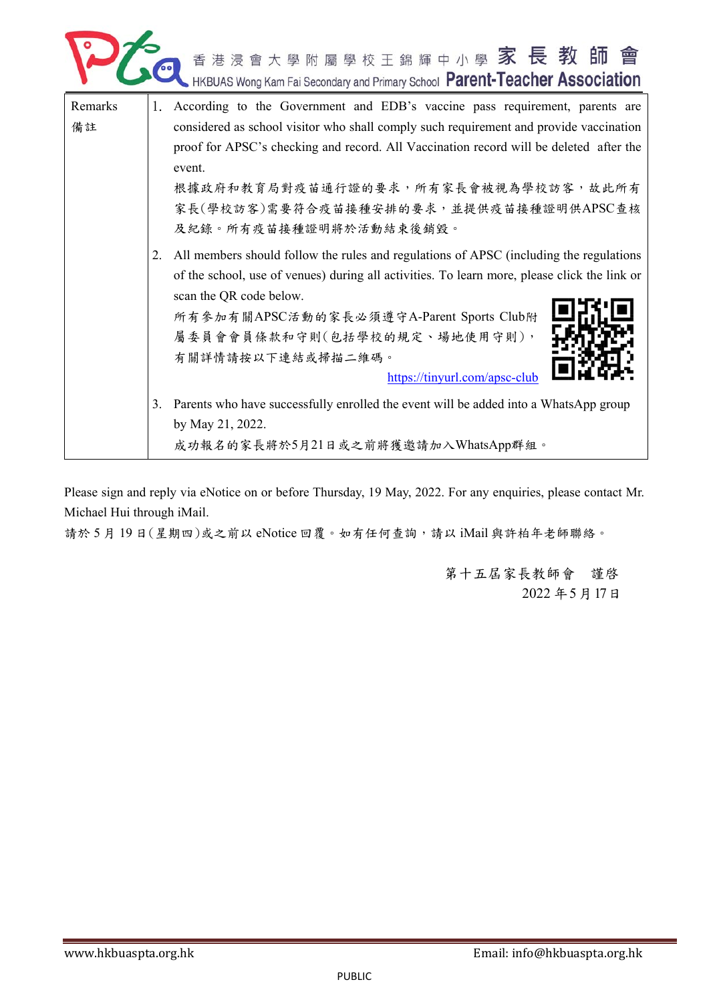

| Remarks |    | 1. According to the Government and EDB's vaccine pass requirement, parents are               |
|---------|----|----------------------------------------------------------------------------------------------|
| 備註      |    | considered as school visitor who shall comply such requirement and provide vaccination       |
|         |    | proof for APSC's checking and record. All Vaccination record will be deleted after the       |
|         |    | event.                                                                                       |
|         |    | 根據政府和教育局對疫苗通行證的要求,所有家長會被視為學校訪客,故此所有                                                          |
|         |    | 家長(學校訪客)需要符合疫苗接種安排的要求,並提供疫苗接種證明供APSC查核                                                       |
|         |    | 及紀錄。所有疫苗接種證明將於活動結束後銷毀。                                                                       |
|         | 2. | All members should follow the rules and regulations of APSC (including the regulations       |
|         |    | of the school, use of venues) during all activities. To learn more, please click the link or |
|         |    | scan the QR code below.                                                                      |
|         |    | 所有参加有關APSC活動的家長必須遵守A-Parent Sports Club附                                                     |
|         |    | 屬委員會會員條款和守則(包括學校的規定、場地使用守則),                                                                 |
|         |    | 有關詳情請按以下連結或掃描二維碼。                                                                            |
|         |    | https://tinyurl.com/apsc-club                                                                |
|         |    |                                                                                              |
|         | 3. | Parents who have successfully enrolled the event will be added into a WhatsApp group         |
|         |    | by May 21, 2022.                                                                             |
|         |    | 成功報名的家長將於5月21日或之前將獲邀請加入WhatsApp群組。                                                           |

Please sign and reply via eNotice on or before Thursday, 19 May, 2022. For any enquiries, please contact Mr. Michael Hui through iMail.

請於 5月19日(星期四)或之前以 eNotice 回覆。如有任何查詢,請以 iMail 與許柏年老師聯絡。

第十五屆家長教師會 謹啓 2022 年5月17日